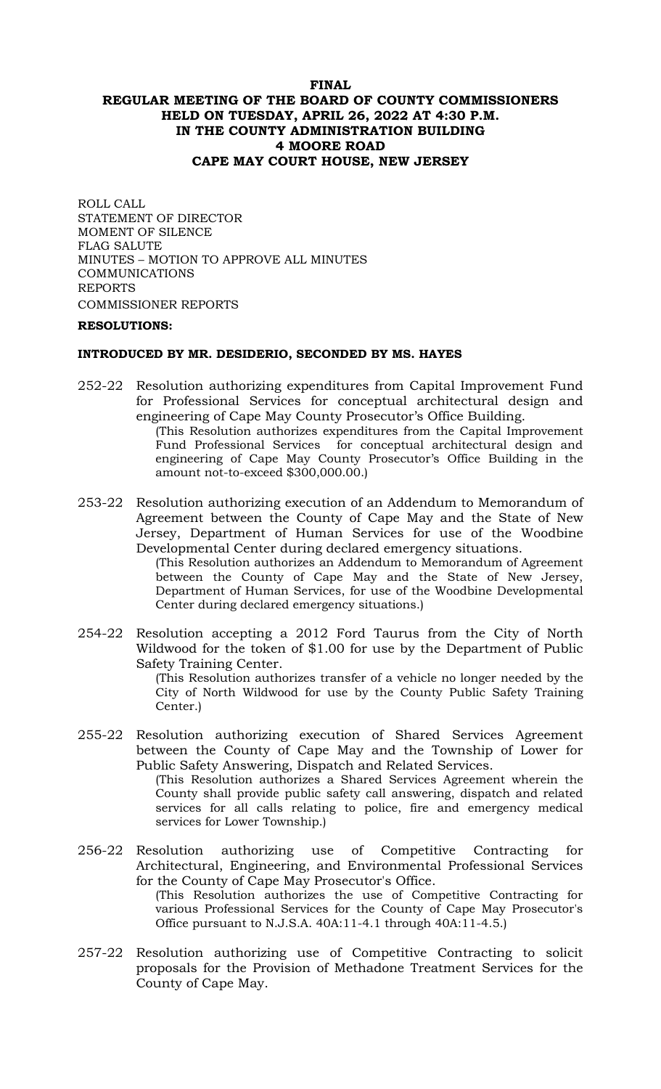## **FINAL REGULAR MEETING OF THE BOARD OF COUNTY COMMISSIONERS HELD ON TUESDAY, APRIL 26, 2022 AT 4:30 P.M. IN THE COUNTY ADMINISTRATION BUILDING 4 MOORE ROAD CAPE MAY COURT HOUSE, NEW JERSEY**

ROLL CALL STATEMENT OF DIRECTOR MOMENT OF SILENCE FLAG SALUTE MINUTES – MOTION TO APPROVE ALL MINUTES COMMUNICATIONS REPORTS COMMISSIONER REPORTS

### **RESOLUTIONS:**

### **INTRODUCED BY MR. DESIDERIO, SECONDED BY MS. HAYES**

amount not-to-exceed \$300,000.00.)

- 252-22 Resolution authorizing expenditures from Capital Improvement Fund for Professional Services for conceptual architectural design and engineering of Cape May County Prosecutor's Office Building. (This Resolution authorizes expenditures from the Capital Improvement Fund Professional Services for conceptual architectural design and engineering of Cape May County Prosecutor's Office Building in the
- 253-22 Resolution authorizing execution of an Addendum to Memorandum of Agreement between the County of Cape May and the State of New Jersey, Department of Human Services for use of the Woodbine Developmental Center during declared emergency situations.

(This Resolution authorizes an Addendum to Memorandum of Agreement between the County of Cape May and the State of New Jersey, Department of Human Services, for use of the Woodbine Developmental Center during declared emergency situations.)

254-22 Resolution accepting a 2012 Ford Taurus from the City of North Wildwood for the token of \$1.00 for use by the Department of Public Safety Training Center.

(This Resolution authorizes transfer of a vehicle no longer needed by the City of North Wildwood for use by the County Public Safety Training Center.)

- 255-22 Resolution authorizing execution of Shared Services Agreement between the County of Cape May and the Township of Lower for Public Safety Answering, Dispatch and Related Services. (This Resolution authorizes a Shared Services Agreement wherein the County shall provide public safety call answering, dispatch and related services for all calls relating to police, fire and emergency medical services for Lower Township.)
- 256-22 Resolution authorizing use of Competitive Contracting for Architectural, Engineering, and Environmental Professional Services for the County of Cape May Prosecutor's Office. (This Resolution authorizes the use of Competitive Contracting for various Professional Services for the County of Cape May Prosecutor's Office pursuant to N.J.S.A. 40A:11-4.1 through 40A:11-4.5.)
- 257-22 Resolution authorizing use of Competitive Contracting to solicit proposals for the Provision of Methadone Treatment Services for the County of Cape May.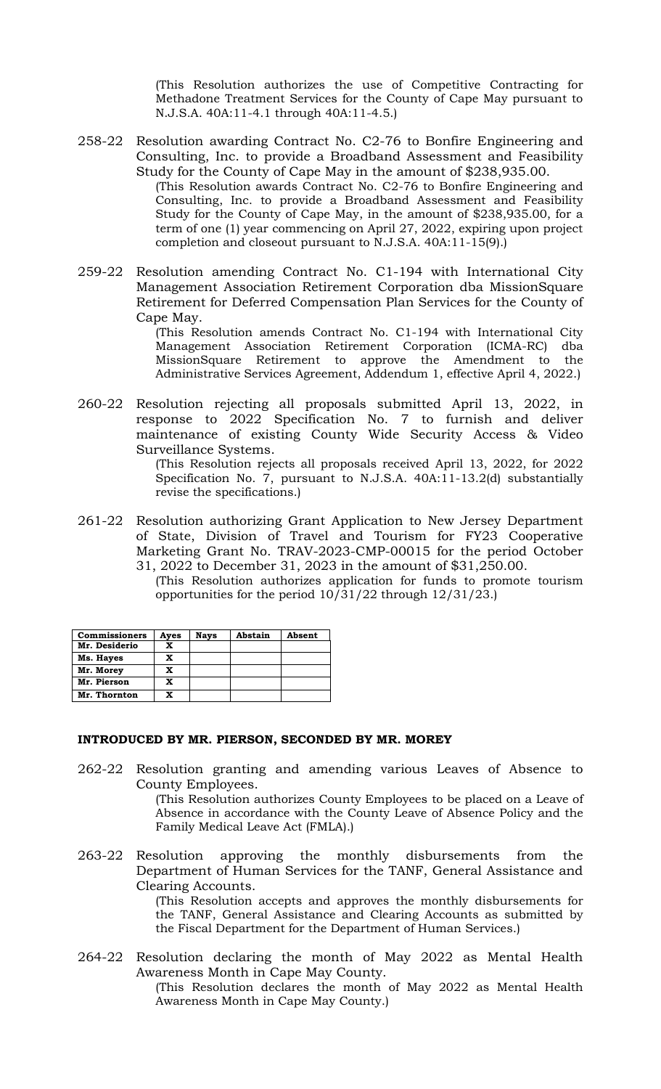(This Resolution authorizes the use of Competitive Contracting for Methadone Treatment Services for the County of Cape May pursuant to N.J.S.A. 40A:11-4.1 through 40A:11-4.5.)

- 258-22 Resolution awarding Contract No. C2-76 to Bonfire Engineering and Consulting, Inc. to provide a Broadband Assessment and Feasibility Study for the County of Cape May in the amount of \$238,935.00. (This Resolution awards Contract No. C2-76 to Bonfire Engineering and Consulting, Inc. to provide a Broadband Assessment and Feasibility Study for the County of Cape May, in the amount of \$238,935.00, for a term of one (1) year commencing on April 27, 2022, expiring upon project completion and closeout pursuant to N.J.S.A. 40A:11-15(9).)
- 259-22 Resolution amending Contract No. C1-194 with International City Management Association Retirement Corporation dba MissionSquare Retirement for Deferred Compensation Plan Services for the County of Cape May.

(This Resolution amends Contract No. C1-194 with International City Management Association Retirement Corporation (ICMA-RC) dba MissionSquare Retirement to approve the Amendment to the Administrative Services Agreement, Addendum 1, effective April 4, 2022.)

260-22 Resolution rejecting all proposals submitted April 13, 2022, in response to 2022 Specification No. 7 to furnish and deliver maintenance of existing County Wide Security Access & Video Surveillance Systems.

> (This Resolution rejects all proposals received April 13, 2022, for 2022 Specification No. 7, pursuant to N.J.S.A. 40A:11-13.2(d) substantially revise the specifications.)

- 261-22 Resolution authorizing Grant Application to New Jersey Department of State, Division of Travel and Tourism for FY23 Cooperative Marketing Grant No. TRAV-2023-CMP-00015 for the period October 31, 2022 to December 31, 2023 in the amount of \$31,250.00.
	- (This Resolution authorizes application for funds to promote tourism opportunities for the period 10/31/22 through 12/31/23.)

| <b>Commissioners</b> | Ayes | <b>Nays</b> | Abstain | Absent |
|----------------------|------|-------------|---------|--------|
| Mr. Desiderio        | x    |             |         |        |
| Ms. Hayes            | X    |             |         |        |
| Mr. Morey            | x    |             |         |        |
| Mr. Pierson          | x    |             |         |        |
| Mr. Thornton         |      |             |         |        |

### **INTRODUCED BY MR. PIERSON, SECONDED BY MR. MOREY**

- 262-22 Resolution granting and amending various Leaves of Absence to County Employees. (This Resolution authorizes County Employees to be placed on a Leave of Absence in accordance with the County Leave of Absence Policy and the Family Medical Leave Act (FMLA).)
- 263-22 Resolution approving the monthly disbursements from the Department of Human Services for the TANF, General Assistance and Clearing Accounts.

(This Resolution accepts and approves the monthly disbursements for the TANF, General Assistance and Clearing Accounts as submitted by the Fiscal Department for the Department of Human Services.)

264-22 Resolution declaring the month of May 2022 as Mental Health Awareness Month in Cape May County.

(This Resolution declares the month of May 2022 as Mental Health Awareness Month in Cape May County.)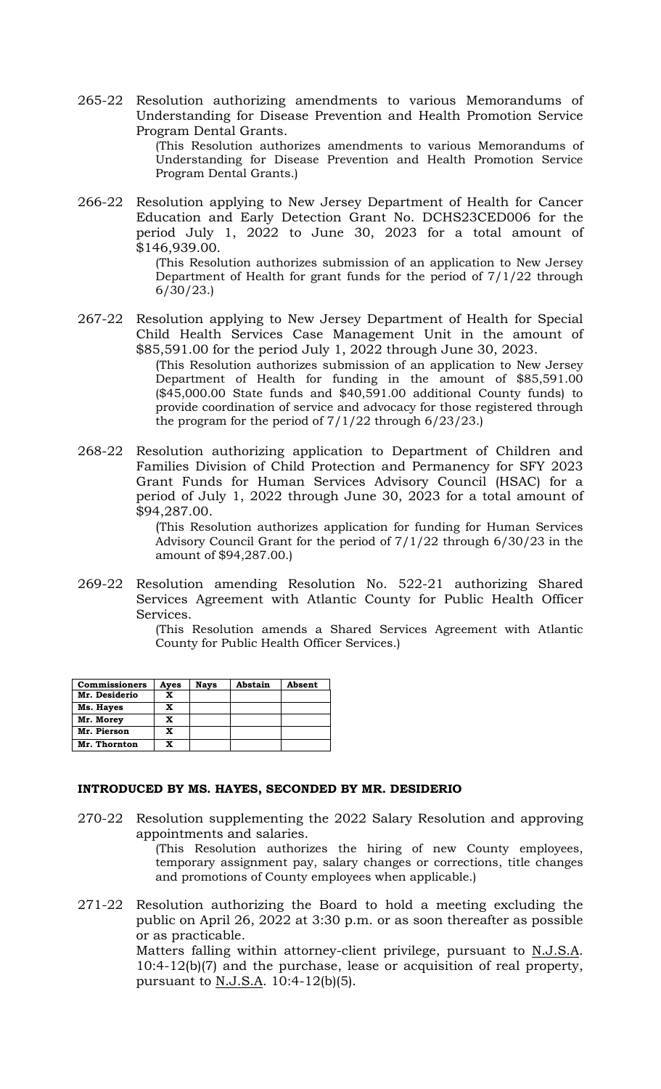265-22 Resolution authorizing amendments to various Memorandums of Understanding for Disease Prevention and Health Promotion Service Program Dental Grants.

(This Resolution authorizes amendments to various Memorandums of Understanding for Disease Prevention and Health Promotion Service Program Dental Grants.)

266-22 Resolution applying to New Jersey Department of Health for Cancer Education and Early Detection Grant No. DCHS23CED006 for the period July 1, 2022 to June 30, 2023 for a total amount of \$146,939.00.

> (This Resolution authorizes submission of an application to New Jersey Department of Health for grant funds for the period of 7/1/22 through 6/30/23.)

267-22 Resolution applying to New Jersey Department of Health for Special Child Health Services Case Management Unit in the amount of \$85,591.00 for the period July 1, 2022 through June 30, 2023. (This Resolution authorizes submission of an application to New Jersey Department of Health for funding in the amount of \$85,591.00

(\$45,000.00 State funds and \$40,591.00 additional County funds) to provide coordination of service and advocacy for those registered through the program for the period of  $7/1/22$  through  $6/23/23$ .)

268-22 Resolution authorizing application to Department of Children and Families Division of Child Protection and Permanency for SFY 2023 Grant Funds for Human Services Advisory Council (HSAC) for a period of July 1, 2022 through June 30, 2023 for a total amount of \$94,287.00.

> (This Resolution authorizes application for funding for Human Services Advisory Council Grant for the period of 7/1/22 through 6/30/23 in the amount of \$94,287.00.)

269-22 Resolution amending Resolution No. 522-21 authorizing Shared Services Agreement with Atlantic County for Public Health Officer Services.

(This Resolution amends a Shared Services Agreement with Atlantic County for Public Health Officer Services.)

| <b>Commissioners</b> | Ayes | <b>Nays</b> | Abstain | Absent |
|----------------------|------|-------------|---------|--------|
| Mr. Desiderio        | x    |             |         |        |
| Ms. Hayes            | X    |             |         |        |
| Mr. Morey            | X    |             |         |        |
| Mr. Pierson          | x    |             |         |        |
| Mr. Thornton         | X    |             |         |        |

## **INTRODUCED BY MS. HAYES, SECONDED BY MR. DESIDERIO**

270-22 Resolution supplementing the 2022 Salary Resolution and approving appointments and salaries.

(This Resolution authorizes the hiring of new County employees, temporary assignment pay, salary changes or corrections, title changes and promotions of County employees when applicable.)

271-22 Resolution authorizing the Board to hold a meeting excluding the public on April 26, 2022 at 3:30 p.m. or as soon thereafter as possible or as practicable.

Matters falling within attorney-client privilege, pursuant to N.J.S.A. 10:4-12(b)(7) and the purchase, lease or acquisition of real property, pursuant to <u>N.J.S.A</u>. 10:4-12(b)(5).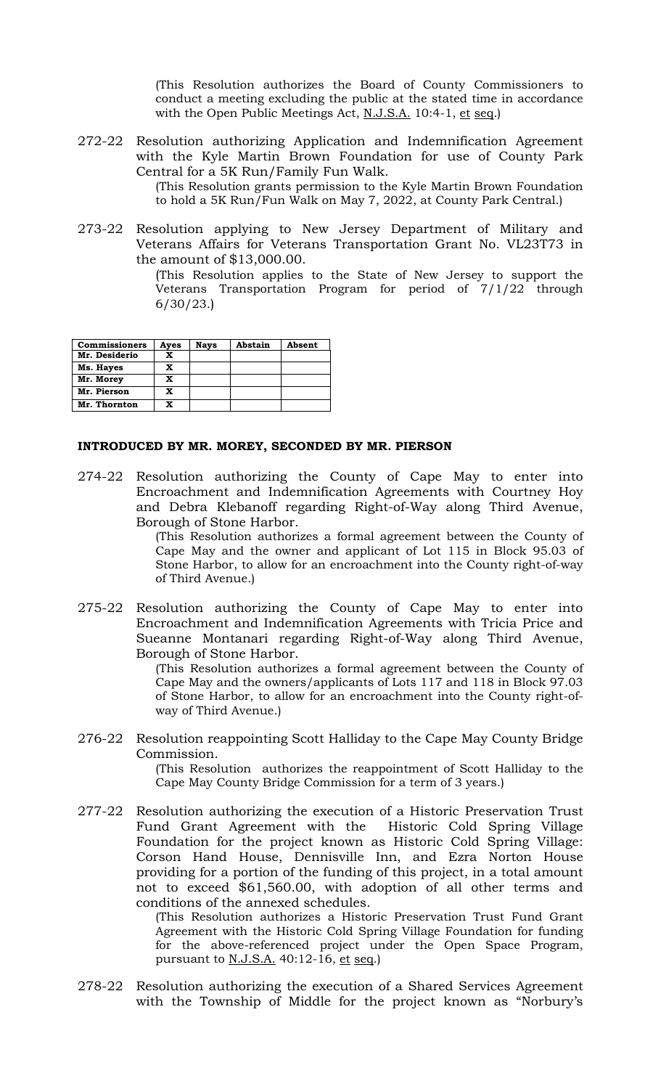(This Resolution authorizes the Board of County Commissioners to conduct a meeting excluding the public at the stated time in accordance with the Open Public Meetings Act, N.J.S.A. 10:4-1, et seq.)

272-22 Resolution authorizing Application and Indemnification Agreement with the Kyle Martin Brown Foundation for use of County Park Central for a 5K Run/Family Fun Walk.

(This Resolution grants permission to the Kyle Martin Brown Foundation to hold a 5K Run/Fun Walk on May 7, 2022, at County Park Central.)

273-22 Resolution applying to New Jersey Department of Military and Veterans Affairs for Veterans Transportation Grant No. VL23T73 in the amount of \$13,000.00.

> (This Resolution applies to the State of New Jersey to support the Veterans Transportation Program for period of 7/1/22 through 6/30/23.)

| <b>Commissioners</b> | Ayes | <b>Nays</b> | Abstain | Absent |
|----------------------|------|-------------|---------|--------|
| Mr. Desiderio        | x    |             |         |        |
| Ms. Hayes            | X    |             |         |        |
| Mr. Morey            | x    |             |         |        |
| Mr. Pierson          | x    |             |         |        |
| Mr. Thornton         | x    |             |         |        |

### **INTRODUCED BY MR. MOREY, SECONDED BY MR. PIERSON**

274-22 Resolution authorizing the County of Cape May to enter into Encroachment and Indemnification Agreements with Courtney Hoy and Debra Klebanoff regarding Right-of-Way along Third Avenue, Borough of Stone Harbor.

(This Resolution authorizes a formal agreement between the County of Cape May and the owner and applicant of Lot 115 in Block 95.03 of Stone Harbor, to allow for an encroachment into the County right-of-way of Third Avenue.)

275-22 Resolution authorizing the County of Cape May to enter into Encroachment and Indemnification Agreements with Tricia Price and Sueanne Montanari regarding Right-of-Way along Third Avenue, Borough of Stone Harbor.

(This Resolution authorizes a formal agreement between the County of Cape May and the owners/applicants of Lots 117 and 118 in Block 97.03 of Stone Harbor, to allow for an encroachment into the County right-ofway of Third Avenue.)

## 276-22 Resolution reappointing Scott Halliday to the Cape May County Bridge Commission.

(This Resolution authorizes the reappointment of Scott Halliday to the Cape May County Bridge Commission for a term of 3 years.)

277-22 Resolution authorizing the execution of a Historic Preservation Trust Fund Grant Agreement with the Historic Cold Spring Village Foundation for the project known as Historic Cold Spring Village: Corson Hand House, Dennisville Inn, and Ezra Norton House providing for a portion of the funding of this project, in a total amount not to exceed \$61,560.00, with adoption of all other terms and conditions of the annexed schedules.

> (This Resolution authorizes a Historic Preservation Trust Fund Grant Agreement with the Historic Cold Spring Village Foundation for funding for the above-referenced project under the Open Space Program, pursuant to N.J.S.A. 40:12-16, et seq.)

278-22 Resolution authorizing the execution of a Shared Services Agreement with the Township of Middle for the project known as "Norbury's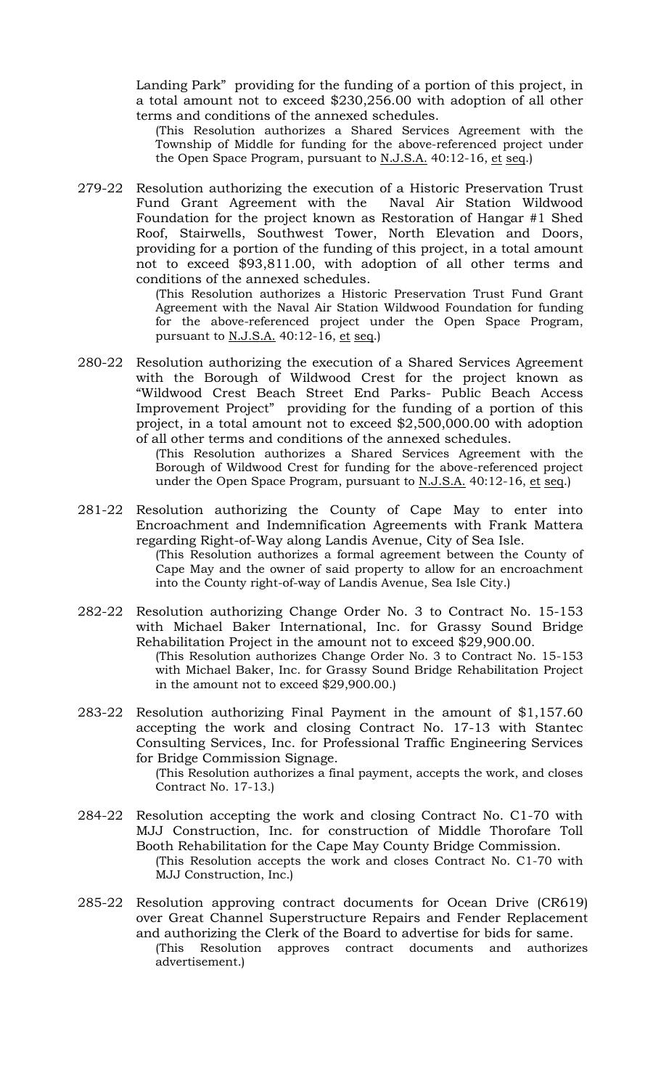Landing Park" providing for the funding of a portion of this project, in a total amount not to exceed \$230,256.00 with adoption of all other terms and conditions of the annexed schedules.

(This Resolution authorizes a Shared Services Agreement with the Township of Middle for funding for the above-referenced project under the Open Space Program, pursuant to N.J.S.A. 40:12-16, et seq.)

279-22 Resolution authorizing the execution of a Historic Preservation Trust Fund Grant Agreement with the Naval Air Station Wildwood Foundation for the project known as Restoration of Hangar #1 Shed Roof, Stairwells, Southwest Tower, North Elevation and Doors, providing for a portion of the funding of this project, in a total amount not to exceed \$93,811.00, with adoption of all other terms and conditions of the annexed schedules.

> (This Resolution authorizes a Historic Preservation Trust Fund Grant Agreement with the Naval Air Station Wildwood Foundation for funding for the above-referenced project under the Open Space Program, pursuant to  $N.J.S.A.$  40:12-16, et seq.)

280-22 Resolution authorizing the execution of a Shared Services Agreement with the Borough of Wildwood Crest for the project known as "Wildwood Crest Beach Street End Parks- Public Beach Access Improvement Project" providing for the funding of a portion of this project, in a total amount not to exceed \$2,500,000.00 with adoption of all other terms and conditions of the annexed schedules.

> (This Resolution authorizes a Shared Services Agreement with the Borough of Wildwood Crest for funding for the above-referenced project under the Open Space Program, pursuant to N.J.S.A. 40:12-16, et seq.)

281-22 Resolution authorizing the County of Cape May to enter into Encroachment and Indemnification Agreements with Frank Mattera regarding Right-of-Way along Landis Avenue, City of Sea Isle.

(This Resolution authorizes a formal agreement between the County of Cape May and the owner of said property to allow for an encroachment into the County right-of-way of Landis Avenue, Sea Isle City.)

- 282-22 Resolution authorizing Change Order No. 3 to Contract No. 15-153 with Michael Baker International, Inc. for Grassy Sound Bridge Rehabilitation Project in the amount not to exceed \$29,900.00. (This Resolution authorizes Change Order No. 3 to Contract No. 15-153 with Michael Baker, Inc. for Grassy Sound Bridge Rehabilitation Project in the amount not to exceed \$29,900.00.)
- 283-22 Resolution authorizing Final Payment in the amount of \$1,157.60 accepting the work and closing Contract No. 17-13 with Stantec Consulting Services, Inc. for Professional Traffic Engineering Services for Bridge Commission Signage.

(This Resolution authorizes a final payment, accepts the work, and closes Contract No. 17-13.)

- 284-22 Resolution accepting the work and closing Contract No. C1-70 with MJJ Construction, Inc. for construction of Middle Thorofare Toll Booth Rehabilitation for the Cape May County Bridge Commission. (This Resolution accepts the work and closes Contract No. C1-70 with MJJ Construction, Inc.)
- 285-22 Resolution approving contract documents for Ocean Drive (CR619) over Great Channel Superstructure Repairs and Fender Replacement and authorizing the Clerk of the Board to advertise for bids for same. (This Resolution approves contract documents and authorizes advertisement.)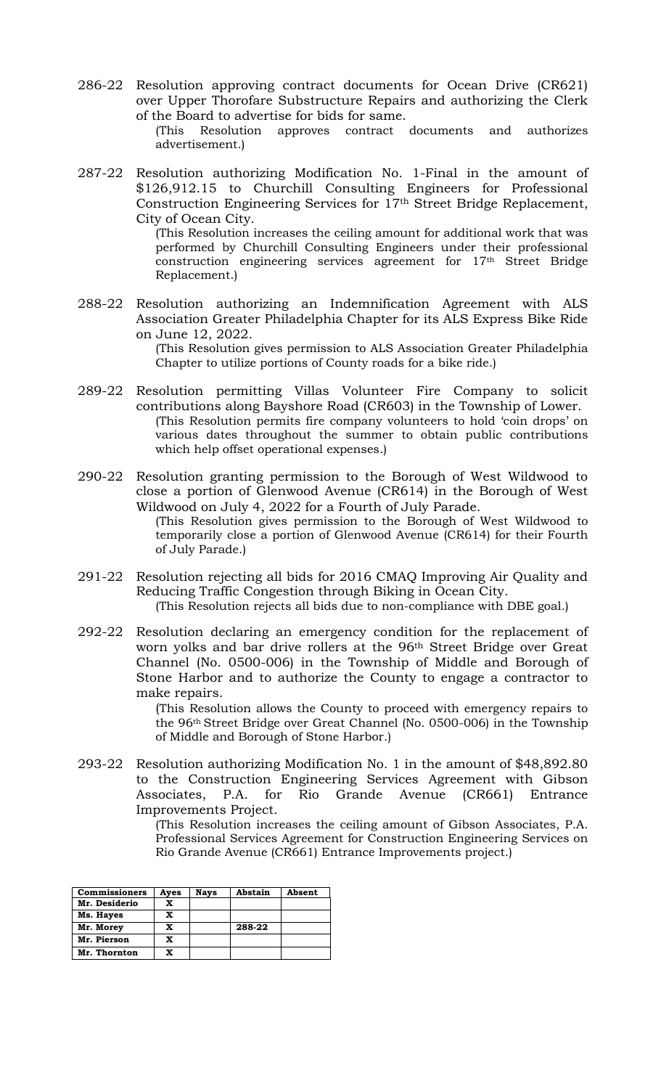286-22 Resolution approving contract documents for Ocean Drive (CR621) over Upper Thorofare Substructure Repairs and authorizing the Clerk of the Board to advertise for bids for same.

> (This Resolution approves contract documents and authorizes advertisement.)

287-22 Resolution authorizing Modification No. 1-Final in the amount of \$126,912.15 to Churchill Consulting Engineers for Professional Construction Engineering Services for 17th Street Bridge Replacement, City of Ocean City. (This Resolution increases the ceiling amount for additional work that was

performed by Churchill Consulting Engineers under their professional construction engineering services agreement for 17th Street Bridge Replacement.)

288-22 Resolution authorizing an Indemnification Agreement with ALS Association Greater Philadelphia Chapter for its ALS Express Bike Ride on June 12, 2022.

(This Resolution gives permission to ALS Association Greater Philadelphia Chapter to utilize portions of County roads for a bike ride.)

- 289-22 Resolution permitting Villas Volunteer Fire Company to solicit contributions along Bayshore Road (CR603) in the Township of Lower. (This Resolution permits fire company volunteers to hold 'coin drops' on various dates throughout the summer to obtain public contributions which help offset operational expenses.)
- 290-22 Resolution granting permission to the Borough of West Wildwood to close a portion of Glenwood Avenue (CR614) in the Borough of West Wildwood on July 4, 2022 for a Fourth of July Parade. (This Resolution gives permission to the Borough of West Wildwood to temporarily close a portion of Glenwood Avenue (CR614) for their Fourth of July Parade.)
- 291-22 Resolution rejecting all bids for 2016 CMAQ Improving Air Quality and Reducing Traffic Congestion through Biking in Ocean City. (This Resolution rejects all bids due to non-compliance with DBE goal.)
- 292-22 Resolution declaring an emergency condition for the replacement of worn yolks and bar drive rollers at the 96th Street Bridge over Great Channel (No. 0500-006) in the Township of Middle and Borough of Stone Harbor and to authorize the County to engage a contractor to make repairs.

(This Resolution allows the County to proceed with emergency repairs to the 96th Street Bridge over Great Channel (No. 0500-006) in the Township of Middle and Borough of Stone Harbor.)

293-22 Resolution authorizing Modification No. 1 in the amount of \$48,892.80 to the Construction Engineering Services Agreement with Gibson Associates, P.A. for Rio Grande Avenue (CR661) Entrance Improvements Project.

> (This Resolution increases the ceiling amount of Gibson Associates, P.A. Professional Services Agreement for Construction Engineering Services on Rio Grande Avenue (CR661) Entrance Improvements project.)

| <b>Commissioners</b> | Ayes | <b>Nays</b> | Abstain | Absent |
|----------------------|------|-------------|---------|--------|
| Mr. Desiderio        | x    |             |         |        |
| Ms. Hayes            | x    |             |         |        |
| Mr. Morey            | x    |             | 288-22  |        |
| Mr. Pierson          | x    |             |         |        |
| Mr. Thornton         | x    |             |         |        |